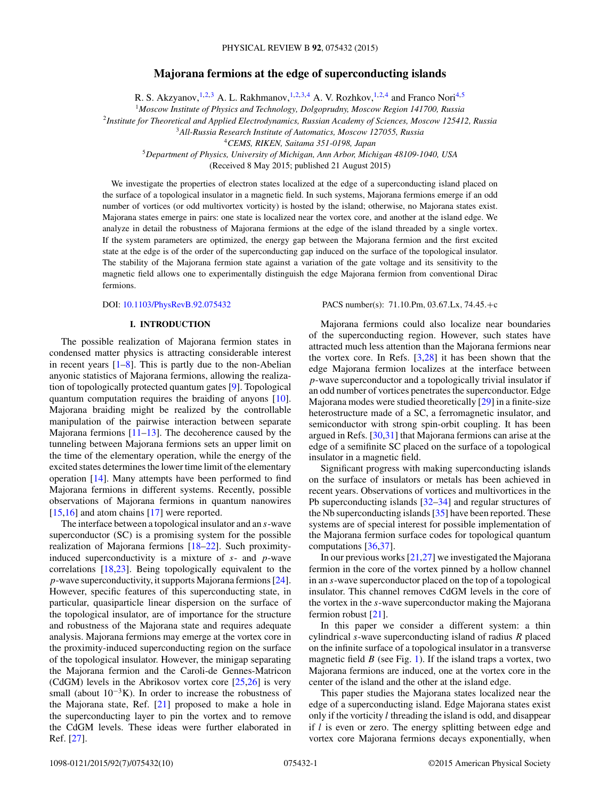# **Majorana fermions at the edge of superconducting islands**

R. S. Akzyanov,<sup>1,2,3</sup> A. L. Rakhmanov,<sup>1,2,3,4</sup> A. V. Rozhkov,<sup>1,2,4</sup> and Franco Nori<sup>4,5</sup>

<sup>1</sup>*Moscow Institute of Physics and Technology, Dolgoprudny, Moscow Region 141700, Russia*

<sup>2</sup>*Institute for Theoretical and Applied Electrodynamics, Russian Academy of Sciences, Moscow 125412, Russia*

<sup>3</sup>*All-Russia Research Institute of Automatics, Moscow 127055, Russia*

<sup>4</sup>*CEMS, RIKEN, Saitama 351-0198, Japan*

<sup>5</sup>*Department of Physics, University of Michigan, Ann Arbor, Michigan 48109-1040, USA*

(Received 8 May 2015; published 21 August 2015)

We investigate the properties of electron states localized at the edge of a superconducting island placed on the surface of a topological insulator in a magnetic field. In such systems, Majorana fermions emerge if an odd number of vortices (or odd multivortex vorticity) is hosted by the island; otherwise, no Majorana states exist. Majorana states emerge in pairs: one state is localized near the vortex core, and another at the island edge. We analyze in detail the robustness of Majorana fermions at the edge of the island threaded by a single vortex. If the system parameters are optimized, the energy gap between the Majorana fermion and the first excited state at the edge is of the order of the superconducting gap induced on the surface of the topological insulator. The stability of the Majorana fermion state against a variation of the gate voltage and its sensitivity to the magnetic field allows one to experimentally distinguish the edge Majorana fermion from conventional Dirac fermions.

DOI: [10.1103/PhysRevB.92.075432](http://dx.doi.org/10.1103/PhysRevB.92.075432) PACS number(s): 71*.*10*.*Pm*,* 03*.*67*.*Lx*,* 74*.*45*.*+c

# **I. INTRODUCTION**

The possible realization of Majorana fermion states in condensed matter physics is attracting considerable interest in recent years  $[1-8]$ . This is partly due to the non-Abelian anyonic statistics of Majorana fermions, allowing the realization of topologically protected quantum gates [\[9\]](#page-8-0). Topological quantum computation requires the braiding of anyons [\[10\]](#page-8-0). Majorana braiding might be realized by the controllable manipulation of the pairwise interaction between separate Majorana fermions  $[11-13]$ . The decoherence caused by the tunneling between Majorana fermions sets an upper limit on the time of the elementary operation, while the energy of the excited states determines the lower time limit of the elementary operation [\[14\]](#page-8-0). Many attempts have been performed to find Majorana fermions in different systems. Recently, possible observations of Majorana fermions in quantum nanowires [\[15,16\]](#page-8-0) and atom chains [\[17\]](#page-8-0) were reported.

The interface between a topological insulator and an *s*-wave superconductor (SC) is a promising system for the possible realization of Majorana fermions [\[18–22\]](#page-8-0). Such proximityinduced superconductivity is a mixture of *s*- and *p*-wave correlations [\[18,23\]](#page-8-0). Being topologically equivalent to the *p*-wave superconductivity, it supports Majorana fermions [\[24\]](#page-9-0). However, specific features of this superconducting state, in particular, quasiparticle linear dispersion on the surface of the topological insulator, are of importance for the structure and robustness of the Majorana state and requires adequate analysis. Majorana fermions may emerge at the vortex core in the proximity-induced superconducting region on the surface of the topological insulator. However, the minigap separating the Majorana fermion and the Caroli-de Gennes-Matricon (CdGM) levels in the Abrikosov vortex core [\[25,26\]](#page-9-0) is very small (about  $10^{-3}$ K). In order to increase the robustness of the Majorana state, Ref. [\[21\]](#page-8-0) proposed to make a hole in the superconducting layer to pin the vortex and to remove the CdGM levels. These ideas were further elaborated in Ref. [\[27\]](#page-9-0).

Majorana fermions could also localize near boundaries of the superconducting region. However, such states have attracted much less attention than the Majorana fermions near the vortex core. In Refs.  $[3,28]$  $[3,28]$  it has been shown that the edge Majorana fermion localizes at the interface between *p*-wave superconductor and a topologically trivial insulator if an odd number of vortices penetrates the superconductor. Edge Majorana modes were studied theoretically [\[29\]](#page-9-0) in a finite-size heterostructure made of a SC, a ferromagnetic insulator, and semiconductor with strong spin-orbit coupling. It has been argued in Refs. [\[30,31\]](#page-9-0) that Majorana fermions can arise at the edge of a semifinite SC placed on the surface of a topological insulator in a magnetic field.

Significant progress with making superconducting islands on the surface of insulators or metals has been achieved in recent years. Observations of vortices and multivortices in the Pb superconducting islands [\[32–34\]](#page-9-0) and regular structures of the Nb superconducting islands [\[35\]](#page-9-0) have been reported. These systems are of special interest for possible implementation of the Majorana fermion surface codes for topological quantum computations [\[36,37\]](#page-9-0).

In our previous works  $[21,27]$  $[21,27]$  we investigated the Majorana fermion in the core of the vortex pinned by a hollow channel in an *s*-wave superconductor placed on the top of a topological insulator. This channel removes CdGM levels in the core of the vortex in the *s*-wave superconductor making the Majorana fermion robust [\[21\]](#page-8-0).

In this paper we consider a different system: a thin cylindrical *s*-wave superconducting island of radius *R* placed on the infinite surface of a topological insulator in a transverse magnetic field  $B$  (see Fig. [1\)](#page-1-0). If the island traps a vortex, two Majorana fermions are induced, one at the vortex core in the center of the island and the other at the island edge.

This paper studies the Majorana states localized near the edge of a superconducting island. Edge Majorana states exist only if the vorticity *l* threading the island is odd, and disappear if *l* is even or zero. The energy splitting between edge and vortex core Majorana fermions decays exponentially, when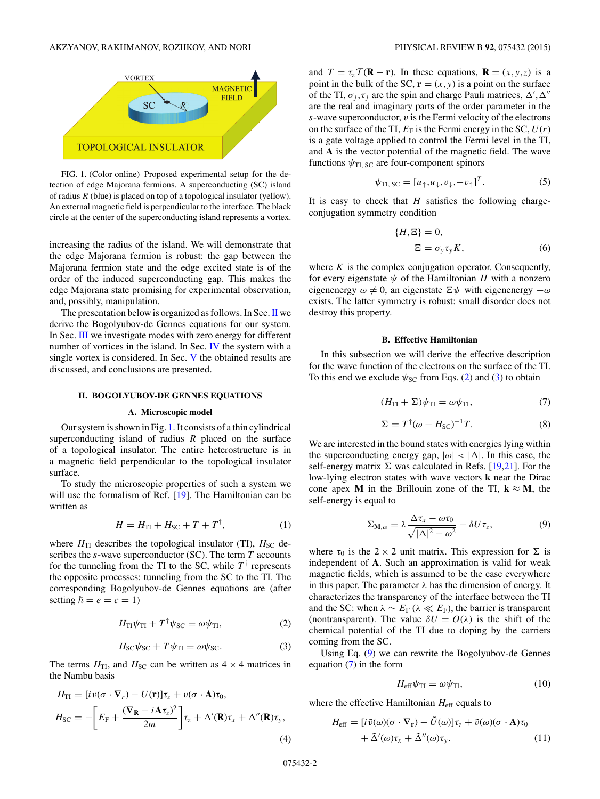<span id="page-1-0"></span>

FIG. 1. (Color online) Proposed experimental setup for the detection of edge Majorana fermions. A superconducting (SC) island of radius *R* (blue) is placed on top of a topological insulator (yellow). An external magnetic field is perpendicular to the interface. The black circle at the center of the superconducting island represents a vortex.

increasing the radius of the island. We will demonstrate that the edge Majorana fermion is robust: the gap between the Majorana fermion state and the edge excited state is of the order of the induced superconducting gap. This makes the edge Majorana state promising for experimental observation, and, possibly, manipulation.

The presentation below is organized as follows. In Sec. II we derive the Bogolyubov-de Gennes equations for our system. In Sec. [III](#page-2-0) we investigate modes with zero energy for different number of vortices in the island. In Sec. [IV](#page-4-0) the system with a single vortex is considered. In Sec. [V](#page-6-0) the obtained results are discussed, and conclusions are presented.

#### **II. BOGOLYUBOV-DE GENNES EQUATIONS**

## **A. Microscopic model**

Our system is shown in Fig. 1. It consists of a thin cylindrical superconducting island of radius *R* placed on the surface of a topological insulator. The entire heterostructure is in a magnetic field perpendicular to the topological insulator surface.

To study the microscopic properties of such a system we will use the formalism of Ref. [\[19\]](#page-8-0). The Hamiltonian can be written as

$$
H = H_{\rm TI} + H_{\rm SC} + T + T^{\dagger}, \tag{1}
$$

where  $H_{\text{TI}}$  describes the topological insulator (TI),  $H_{\text{SC}}$  describes the *s*-wave superconductor (SC). The term *T* accounts for the tunneling from the TI to the SC, while  $T^{\dagger}$  represents the opposite processes: tunneling from the SC to the TI. The corresponding Bogolyubov-de Gennes equations are (after setting  $\hbar = e = c = 1$ )

$$
H_{\rm TI}\psi_{\rm TI} + T^{\dagger}\psi_{\rm SC} = \omega\psi_{\rm TI},\tag{2}
$$

$$
H_{\rm SC}\psi_{\rm SC} + T\psi_{\rm TI} = \omega\psi_{\rm SC}.\tag{3}
$$

The terms  $H_{\text{TI}}$ , and  $H_{\text{SC}}$  can be written as  $4 \times 4$  matrices in the Nambu basis

$$
H_{\text{TI}} = [iv(\sigma \cdot \nabla_r) - U(\mathbf{r})]\tau_z + v(\sigma \cdot \mathbf{A})\tau_0,
$$
  
\n
$$
H_{\text{SC}} = -\left[E_{\text{F}} + \frac{(\nabla_{\mathbf{R}} - i\mathbf{A}\tau_z)^2}{2m}\right]\tau_z + \Delta'(\mathbf{R})\tau_x + \Delta''(\mathbf{R})\tau_y,
$$
\n(4)

and  $T = \tau_z T (\mathbf{R} - \mathbf{r})$ . In these equations,  $\mathbf{R} = (x, y, z)$  is a point in the bulk of the SC,  $\mathbf{r} = (x, y)$  is a point on the surface of the TI,  $\sigma_j$ ,  $\tau_j$  are the spin and charge Pauli matrices,  $\Delta'$ ,  $\Delta''$ are the real and imaginary parts of the order parameter in the *s*-wave superconductor, *v* is the Fermi velocity of the electrons on the surface of the TI,  $E_F$  is the Fermi energy in the SC,  $U(r)$ is a gate voltage applied to control the Fermi level in the TI, and **A** is the vector potential of the magnetic field. The wave functions  $\psi_{\text{TI, SC}}$  are four-component spinors

$$
\psi_{\text{TI, SC}} = [u_{\uparrow}, u_{\downarrow}, v_{\downarrow}, -v_{\uparrow}]^T. \tag{5}
$$

It is easy to check that *H* satisfies the following chargeconjugation symmetry condition

$$
\{H, \Xi\} = 0,
$$
  

$$
\Xi = \sigma_y \tau_y K,
$$
 (6)

where *K* is the complex conjugation operator. Consequently, for every eigenstate  $\psi$  of the Hamiltonian *H* with a nonzero eigenenergy  $\omega \neq 0$ , an eigenstate  $\Xi \psi$  with eigenenergy  $-\omega$ exists. The latter symmetry is robust: small disorder does not destroy this property.

### **B. Effective Hamiltonian**

In this subsection we will derive the effective description for the wave function of the electrons on the surface of the TI. To this end we exclude  $\psi_{SC}$  from Eqs. (2) and (3) to obtain

$$
(H_{\rm TI} + \Sigma)\psi_{\rm TI} = \omega\psi_{\rm TI},\tag{7}
$$

$$
\Sigma = T^{\dagger}(\omega - H_{\rm SC})^{-1}T. \tag{8}
$$

We are interested in the bound states with energies lying within the superconducting energy gap,  $|\omega| < |\Delta|$ . In this case, the self-energy matrix  $\Sigma$  was calculated in Refs. [\[19,21\]](#page-8-0). For the low-lying electron states with wave vectors **k** near the Dirac cone apex **M** in the Brillouin zone of the TI,  $\mathbf{k} \approx \mathbf{M}$ , the self-energy is equal to

$$
\Sigma_{\mathbf{M},\omega} = \lambda \frac{\Delta \tau_x - \omega \tau_0}{\sqrt{|\Delta|^2 - \omega^2}} - \delta U \tau_z, \tag{9}
$$

where  $\tau_0$  is the 2 × 2 unit matrix. This expression for  $\Sigma$  is independent of **A**. Such an approximation is valid for weak magnetic fields, which is assumed to be the case everywhere in this paper. The parameter  $\lambda$  has the dimension of energy. It characterizes the transparency of the interface between the TI and the SC: when  $\lambda \sim E_F$  ( $\lambda \ll E_F$ ), the barrier is transparent (nontransparent). The value  $\delta U = O(\lambda)$  is the shift of the chemical potential of the TI due to doping by the carriers coming from the SC.

Using Eq. (9) we can rewrite the Bogolyubov-de Gennes equation (7) in the form

$$
H_{\rm eff}\psi_{\rm TI} = \omega\psi_{\rm TI},\tag{10}
$$

where the effective Hamiltonian  $H_{\text{eff}}$  equals to

$$
H_{\text{eff}} = [i \tilde{v}(\omega)(\sigma \cdot \nabla_{\mathbf{r}}) - \tilde{U}(\omega)]\tau_z + \tilde{v}(\omega)(\sigma \cdot \mathbf{A})\tau_0 + \tilde{\Delta}'(\omega)\tau_x + \tilde{\Delta}''(\omega)\tau_y.
$$
 (11)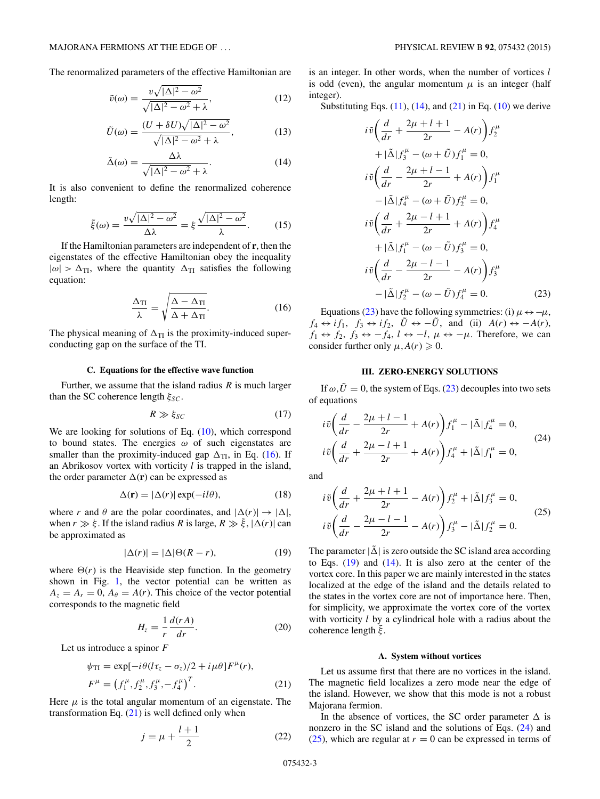<span id="page-2-0"></span>The renormalized parameters of the effective Hamiltonian are

$$
\tilde{v}(\omega) = \frac{v\sqrt{|\Delta|^2 - \omega^2}}{\sqrt{|\Delta|^2 - \omega^2} + \lambda},\tag{12}
$$

$$
\tilde{U}(\omega) = \frac{(U + \delta U)\sqrt{|\Delta|^2 - \omega^2}}{\sqrt{|\Delta|^2 - \omega^2} + \lambda},
$$
\n(13)

$$
\tilde{\Delta}(\omega) = \frac{\Delta\lambda}{\sqrt{|\Delta|^2 - \omega^2} + \lambda}.
$$
\n(14)

It is also convenient to define the renormalized coherence length:

$$
\tilde{\xi}(\omega) = \frac{v\sqrt{|\Delta|^2 - \omega^2}}{\Delta\lambda} = \xi \frac{\sqrt{|\Delta|^2 - \omega^2}}{\lambda}.
$$
 (15)

If the Hamiltonian parameters are independent of **r**, then the eigenstates of the effective Hamiltonian obey the inequality  $|\omega| > \Delta_{\text{TI}}$ , where the quantity  $\Delta_{\text{TI}}$  satisfies the following equation:

$$
\frac{\Delta_{\rm TI}}{\lambda} = \sqrt{\frac{\Delta - \Delta_{\rm TI}}{\Delta + \Delta_{\rm TI}}}.\tag{16}
$$

The physical meaning of  $\Delta_{TI}$  is the proximity-induced superconducting gap on the surface of the TI.

# **C. Equations for the effective wave function**

Further, we assume that the island radius *R* is much larger than the SC coherence length *ξ<sub>SC</sub>*.

$$
R \gg \xi_{SC} \tag{17}
$$

We are looking for solutions of Eq.  $(10)$ , which correspond to bound states. The energies *ω* of such eigenstates are smaller than the proximity-induced gap  $\Delta_{TI}$ , in Eq. (16). If an Abrikosov vortex with vorticity *l* is trapped in the island, the order parameter  $\Delta(\mathbf{r})$  can be expressed as

$$
\Delta(\mathbf{r}) = |\Delta(r)| \exp(-il\theta), \tag{18}
$$

where *r* and  $\theta$  are the polar coordinates, and  $|\Delta(r)| \rightarrow |\Delta|$ , when  $r \gg \xi$ . If the island radius *R* is large,  $R \gg \xi$ ,  $|\Delta(r)|$  can be approximated as

$$
|\Delta(r)| = |\Delta|\Theta(R - r), \tag{19}
$$

where  $\Theta(r)$  is the Heaviside step function. In the geometry shown in Fig. [1,](#page-1-0) the vector potential can be written as  $A_z = A_r = 0$ ,  $A_\theta = A(r)$ . This choice of the vector potential corresponds to the magnetic field

$$
H_z = \frac{1}{r} \frac{d(rA)}{dr}.
$$
 (20)

Let us introduce a spinor *F*

$$
\psi_{\text{TI}} = \exp[-i\theta(l\tau_z - \sigma_z)/2 + i\mu\theta]F^{\mu}(r), \nF^{\mu} = (f_1^{\mu}, f_2^{\mu}, f_3^{\mu}, -f_4^{\mu})^T.
$$
\n(21)

Here  $\mu$  is the total angular momentum of an eigenstate. The transformation Eq.  $(21)$  is well defined only when

$$
j = \mu + \frac{l+1}{2} \tag{22}
$$

is an integer. In other words, when the number of vortices *l* is odd (even), the angular momentum  $\mu$  is an integer (half integer).

Substituting Eqs.  $(11)$ ,  $(14)$ , and  $(21)$  in Eq.  $(10)$  we derive

$$
i\tilde{v}\left(\frac{d}{dr} + \frac{2\mu + l + 1}{2r} - A(r)\right) f_2^{\mu}
$$
  
+  $|\tilde{\Delta}| f_3^{\mu} - (\omega + \tilde{U}) f_1^{\mu} = 0,$   

$$
i\tilde{v}\left(\frac{d}{dr} - \frac{2\mu + l - 1}{2r} + A(r)\right) f_1^{\mu}
$$
  
-  $|\tilde{\Delta}| f_4^{\mu} - (\omega + \tilde{U}) f_2^{\mu} = 0,$   

$$
i\tilde{v}\left(\frac{d}{dr} + \frac{2\mu - l + 1}{2r} + A(r)\right) f_4^{\mu}
$$
  
+  $|\tilde{\Delta}| f_1^{\mu} - (\omega - \tilde{U}) f_3^{\mu} = 0,$   

$$
i\tilde{v}\left(\frac{d}{dr} - \frac{2\mu - l - 1}{2r} - A(r)\right) f_3^{\mu}
$$
  
-  $|\tilde{\Delta}| f_2^{\mu} - (\omega - \tilde{U}) f_4^{\mu} = 0.$  (23)

Equations (23) have the following symmetries: (i)  $\mu \leftrightarrow -\mu$ ,  $f_4 \leftrightarrow if_1, f_3 \leftrightarrow if_2, \tilde{U} \leftrightarrow -\tilde{U}$ , and (ii)  $A(r) \leftrightarrow -A(r)$ ,  $f_1 \leftrightarrow f_2$ ,  $f_3 \leftrightarrow -f_4$ ,  $l \leftrightarrow -l$ ,  $\mu \leftrightarrow -\mu$ . Therefore, we can consider further only  $\mu$ ,  $A(r) \geq 0$ .

# **III. ZERO-ENERGY SOLUTIONS**

If  $\omega, \tilde{U} = 0$ , the system of Eqs. (23) decouples into two sets of equations

$$
i\tilde{v}\left(\frac{d}{dr} - \frac{2\mu + l - 1}{2r} + A(r)\right) f_1^{\mu} - |\tilde{\Delta}| f_4^{\mu} = 0,
$$
  
\n
$$
i\tilde{v}\left(\frac{d}{dr} + \frac{2\mu - l + 1}{2r} + A(r)\right) f_4^{\mu} + |\tilde{\Delta}| f_1^{\mu} = 0,
$$
\n(24)

and

$$
i\tilde{v}\left(\frac{d}{dr} + \frac{2\mu + l + 1}{2r} - A(r)\right) f_2^{\mu} + |\tilde{\Delta}| f_3^{\mu} = 0,
$$
  
\n
$$
i\tilde{v}\left(\frac{d}{dr} - \frac{2\mu - l - 1}{2r} - A(r)\right) f_3^{\mu} - |\tilde{\Delta}| f_2^{\mu} = 0.
$$
\n(25)

The parameter  $|\tilde{\Delta}|$  is zero outside the SC island area according to Eqs. (19) and (14). It is also zero at the center of the vortex core. In this paper we are mainly interested in the states localized at the edge of the island and the details related to the states in the vortex core are not of importance here. Then, for simplicity, we approximate the vortex core of the vortex with vorticity *l* by a cylindrical hole with a radius about the coherence length *ξ*˜.

## **A. System without vortices**

Let us assume first that there are no vortices in the island. The magnetic field localizes a zero mode near the edge of the island. However, we show that this mode is not a robust Majorana fermion.

In the absence of vortices, the SC order parameter  $\Delta$  is nonzero in the SC island and the solutions of Eqs. (24) and (25), which are regular at  $r = 0$  can be expressed in terms of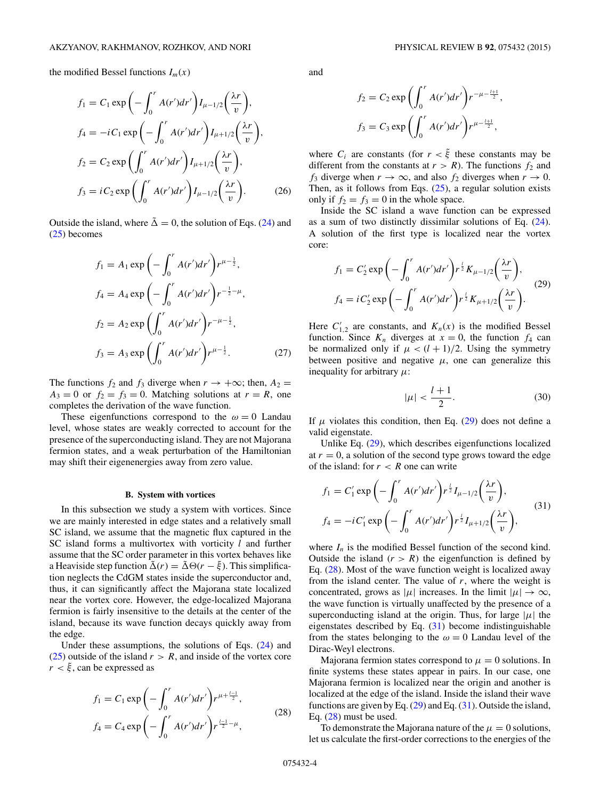<span id="page-3-0"></span>the modified Bessel functions  $I_m(x)$ 

$$
f_1 = C_1 \exp\left(-\int_0^r A(r')dr'\right) I_{\mu-1/2}\left(\frac{\lambda r}{v}\right),
$$
  
\n
$$
f_4 = -iC_1 \exp\left(-\int_0^r A(r')dr'\right) I_{\mu+1/2}\left(\frac{\lambda r}{v}\right),
$$
  
\n
$$
f_2 = C_2 \exp\left(\int_0^r A(r')dr'\right) I_{\mu+1/2}\left(\frac{\lambda r}{v}\right),
$$
  
\n
$$
f_3 = iC_2 \exp\left(\int_0^r A(r')dr'\right) I_{\mu-1/2}\left(\frac{\lambda r}{v}\right).
$$
 (26)

Outside the island, where  $\tilde{\Delta} = 0$ , the solution of Eqs. [\(24\)](#page-2-0) and [\(25\)](#page-2-0) becomes

$$
f_1 = A_1 \exp\left(-\int_0^r A(r')dr'\right) r^{\mu - \frac{1}{2}},
$$
  
\n
$$
f_4 = A_4 \exp\left(-\int_0^r A(r')dr'\right) r^{-\frac{1}{2} - \mu},
$$
  
\n
$$
f_2 = A_2 \exp\left(\int_0^r A(r')dr'\right) r^{-\mu - \frac{1}{2}},
$$
  
\n
$$
f_3 = A_3 \exp\left(\int_0^r A(r')dr'\right) r^{\mu - \frac{1}{2}}.
$$
\n(27)

The functions  $f_2$  and  $f_3$  diverge when  $r \to +\infty$ ; then,  $A_2 =$  $A_3 = 0$  or  $f_2 = f_3 = 0$ . Matching solutions at  $r = R$ , one completes the derivation of the wave function.

These eigenfunctions correspond to the  $\omega = 0$  Landau level, whose states are weakly corrected to account for the presence of the superconducting island. They are not Majorana fermion states, and a weak perturbation of the Hamiltonian may shift their eigenenergies away from zero value.

#### **B. System with vortices**

In this subsection we study a system with vortices. Since we are mainly interested in edge states and a relatively small SC island, we assume that the magnetic flux captured in the SC island forms a multivortex with vorticity *l* and further assume that the SC order parameter in this vortex behaves like a Heaviside step function  $\tilde{\Delta}(r) = \tilde{\Delta} \Theta(r - \tilde{\xi})$ . This simplification neglects the CdGM states inside the superconductor and, thus, it can significantly affect the Majorana state localized near the vortex core. However, the edge-localized Majorana fermion is fairly insensitive to the details at the center of the island, because its wave function decays quickly away from the edge.

Under these assumptions, the solutions of Eqs. [\(24\)](#page-2-0) and [\(25\)](#page-2-0) outside of the island  $r > R$ , and inside of the vortex core  $r < \xi$ , can be expressed as

$$
f_1 = C_1 \exp\left(-\int_0^r A(r')dr'\right) r^{\mu + \frac{l-1}{2}},
$$
  
\n
$$
f_4 = C_4 \exp\left(-\int_0^r A(r')dr'\right) r^{\frac{l-1}{2} - \mu},
$$
\n(28)

and

$$
f_2 = C_2 \exp\left(\int_0^r A(r')dr'\right) r^{-\mu - \frac{l+1}{2}},
$$
  

$$
f_3 = C_3 \exp\left(\int_0^r A(r')dr'\right) r^{\mu - \frac{l+1}{2}},
$$

where  $C_i$  are constants (for  $r < \xi$ ) these constants may be different from the constants at  $r > R$ ). The functions  $f_2$  and *f*<sub>3</sub> diverge when  $r \to \infty$ , and also *f*<sub>2</sub> diverges when  $r \to 0$ . Then, as it follows from Eqs.  $(25)$ , a regular solution exists only if  $f_2 = f_3 = 0$  in the whole space.

Inside the SC island a wave function can be expressed as a sum of two distinctly dissimilar solutions of Eq. [\(24\)](#page-2-0). A solution of the first type is localized near the vortex core:

$$
f_1 = C'_2 \exp\left(-\int_0^r A(r')dr'\right) r^{\frac{1}{2}} K_{\mu-1/2}\left(\frac{\lambda r}{v}\right),
$$
  

$$
f_4 = iC'_2 \exp\left(-\int_0^r A(r')dr'\right) r^{\frac{1}{2}} K_{\mu+1/2}\left(\frac{\lambda r}{v}\right).
$$
 (29)

Here  $C'_{1,2}$  are constants, and  $K_n(x)$  is the modified Bessel function. Since  $K_n$  diverges at  $x = 0$ , the function  $f_4$  can be normalized only if  $\mu < (l + 1)/2$ . Using the symmetry between positive and negative  $\mu$ , one can generalize this inequality for arbitrary *μ*:

$$
|\mu| < \frac{l+1}{2}.\tag{30}
$$

If  $\mu$  violates this condition, then Eq. (29) does not define a valid eigenstate.

Unlike Eq. (29), which describes eigenfunctions localized at  $r = 0$ , a solution of the second type grows toward the edge of the island: for  $r < R$  one can write

$$
f_1 = C'_1 \exp\left(-\int_0^r A(r')dr'\right) r^{\frac{1}{2}} I_{\mu-1/2}\left(\frac{\lambda r}{v}\right),
$$
  
\n
$$
f_4 = -i C'_1 \exp\left(-\int_0^r A(r')dr'\right) r^{\frac{1}{2}} I_{\mu+1/2}\left(\frac{\lambda r}{v}\right),
$$
\n(31)

where  $I_n$  is the modified Bessel function of the second kind. Outside the island  $(r > R)$  the eigenfunction is defined by Eq. (28). Most of the wave function weight is localized away from the island center. The value of *r*, where the weight is concentrated, grows as  $|\mu|$  increases. In the limit  $|\mu| \to \infty$ , the wave function is virtually unaffected by the presence of a superconducting island at the origin. Thus, for large  $|\mu|$  the eigenstates described by Eq. (31) become indistinguishable from the states belonging to the  $\omega = 0$  Landau level of the Dirac-Weyl electrons.

Majorana fermion states correspond to  $\mu = 0$  solutions. In finite systems these states appear in pairs. In our case, one Majorana fermion is localized near the origin and another is localized at the edge of the island. Inside the island their wave functions are given by Eq. (29) and Eq. (31). Outside the island, Eq. (28) must be used.

To demonstrate the Majorana nature of the  $\mu = 0$  solutions, let us calculate the first-order corrections to the energies of the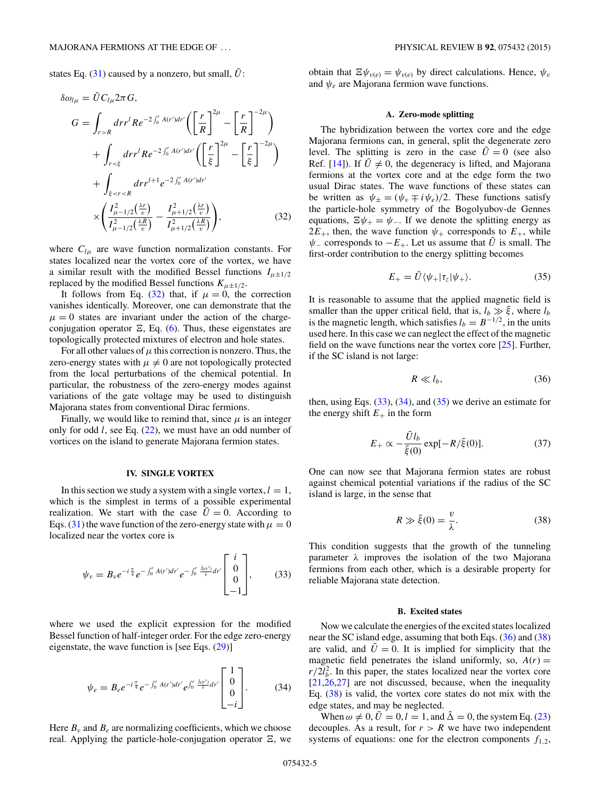<span id="page-4-0"></span>states Eq.  $(31)$  caused by a nonzero, but small,  $\tilde{U}$ :

$$
\delta \omega_{l\mu} = \tilde{U} C_{l\mu} 2\pi G,
$$
\n
$$
G = \int_{r>R} dr r^l Re^{-2\int_0^r A(r') dr'} \left( \left[ \frac{r}{R} \right]^{2\mu} - \left[ \frac{r}{R} \right]^{-2\mu} \right)
$$
\n
$$
+ \int_{r<\xi} dr r^l Re^{-2\int_0^r A(r') dr'} \left( \left[ \frac{r}{\xi} \right]^{2\mu} - \left[ \frac{r}{\xi} \right]^{-2\mu} \right)
$$
\n
$$
+ \int_{\xi < r\n
$$
\times \left( \frac{I_{\mu-1/2}^2 \left( \frac{\lambda r}{v} \right)}{I_{\mu-1/2}^2 \left( \frac{\lambda R}{v} \right)} - \frac{I_{\mu+1/2}^2 \left( \frac{\lambda r}{v} \right)}{I_{\mu+1/2}^2 \left( \frac{\lambda R}{v} \right)} \right), \tag{32}
$$
$$

where  $C_{\mu}$  are wave function normalization constants. For states localized near the vortex core of the vortex, we have a similar result with the modified Bessel functions  $I_{\mu \pm 1/2}$ replaced by the modified Bessel functions  $K_{\mu \pm 1/2}$ .

It follows from Eq. (32) that, if  $\mu = 0$ , the correction vanishes identically. Moreover, one can demonstrate that the  $\mu = 0$  states are invariant under the action of the chargeconjugation operator  $\Xi$ , Eq. [\(6\)](#page-1-0). Thus, these eigenstates are topologically protected mixtures of electron and hole states.

For all other values of  $\mu$  this correction is nonzero. Thus, the zero-energy states with  $\mu \neq 0$  are not topologically protected from the local perturbations of the chemical potential. In particular, the robustness of the zero-energy modes against variations of the gate voltage may be used to distinguish Majorana states from conventional Dirac fermions.

Finally, we would like to remind that, since  $\mu$  is an integer only for odd *l*, see Eq. [\(22\)](#page-2-0), we must have an odd number of vortices on the island to generate Majorana fermion states.

#### **IV. SINGLE VORTEX**

In this section we study a system with a single vortex,  $l = 1$ , which is the simplest in terms of a possible experimental realization. We start with the case  $\ddot{U} = 0$ . According to Eqs. [\(31\)](#page-3-0) the wave function of the zero-energy state with  $\mu = 0$ localized near the vortex core is

$$
\psi_v = B_v e^{-i\frac{\pi}{4}} e^{-\int_0^r A(r')dr'} e^{-\int_0^r \frac{\tilde{A}(r')}{\tilde{v}} dr'} \begin{bmatrix} i \\ 0 \\ 0 \\ -1 \end{bmatrix}, \tag{33}
$$

where we used the explicit expression for the modified Bessel function of half-integer order. For the edge zero-energy eigenstate, the wave function is [see Eqs. [\(29\)](#page-3-0)]

$$
\psi_e = B_e e^{-i\frac{\pi}{4}} e^{-\int_0^r A(r')dr'} e^{\int_0^r \frac{\tilde{\Delta}(r')}{\tilde{v}}dr'} \begin{bmatrix} 1\\0\\0\\-i \end{bmatrix}.
$$
 (34)

Here  $B_v$  and  $B_e$  are normalizing coefficients, which we choose real. Applying the particle-hole-conjugation operator  $\Xi$ , we obtain that  $\Xi \psi_{v(e)} = \psi_{v(e)}$  by direct calculations. Hence,  $\psi_v$ and *ψe* are Majorana fermion wave functions.

# **A. Zero-mode splitting**

The hybridization between the vortex core and the edge Majorana fermions can, in general, split the degenerate zero level. The splitting is zero in the case  $\tilde{U} = 0$  (see also Ref. [\[14\]](#page-8-0)). If  $\tilde{U} \neq 0$ , the degeneracy is lifted, and Majorana fermions at the vortex core and at the edge form the two usual Dirac states. The wave functions of these states can be written as  $\psi_{\pm} = (\psi_v \mp i \psi_e)/2$ . These functions satisfy the particle-hole symmetry of the Bogolyubov-de Gennes equations,  $\Xi \psi_+ = \psi_-\$ . If we denote the splitting energy as  $2E_+$ , then, the wave function  $\psi_+$  corresponds to  $E_+$ , while  $\psi$  corresponds to  $-E$ <sub>+</sub>. Let us assume that  $\tilde{U}$  is small. The first-order contribution to the energy splitting becomes

$$
E_{+} = \tilde{U} \langle \psi_{+} | \tau_{z} | \psi_{+} \rangle. \tag{35}
$$

It is reasonable to assume that the applied magnetic field is smaller than the upper critical field, that is,  $l_b \gg \tilde{\xi}$ , where  $l_b$ is the magnetic length, which satisfies  $l_b = B^{-1/2}$ , in the units used here. In this case we can neglect the effect of the magnetic field on the wave functions near the vortex core [\[25\]](#page-9-0). Further, if the SC island is not large:

$$
R \ll l_b,\tag{36}
$$

then, using Eqs.  $(33)$ ,  $(34)$ , and  $(35)$  we derive an estimate for the energy shift  $E_+$  in the form

$$
E_{+} \propto -\frac{\tilde{U}l_b}{\tilde{\xi}(0)} \exp[-R/\tilde{\xi}(0)].
$$
 (37)

One can now see that Majorana fermion states are robust against chemical potential variations if the radius of the SC island is large, in the sense that

$$
R \gg \tilde{\xi}(0) = \frac{v}{\lambda}.\tag{38}
$$

This condition suggests that the growth of the tunneling parameter *λ* improves the isolation of the two Majorana fermions from each other, which is a desirable property for reliable Majorana state detection.

# **B. Excited states**

Now we calculate the energies of the excited states localized near the SC island edge, assuming that both Eqs. (36) and (38) are valid, and  $\hat{U} = 0$ . It is implied for simplicity that the magnetic field penetrates the island uniformly, so,  $A(r)$  =  $r/2l_b^2$ . In this paper, the states localized near the vortex core  $[21,26,27]$  $[21,26,27]$  are not discussed, because, when the inequality Eq. (38) is valid, the vortex core states do not mix with the edge states, and may be neglected.

When  $\omega \neq 0$ ,  $\tilde{U} = 0$ ,  $l = 1$ , and  $\tilde{\Delta} = 0$ , the system Eq. [\(23\)](#page-2-0) decouples. As a result, for  $r > R$  we have two independent systems of equations: one for the electron components  $f_{1,2}$ ,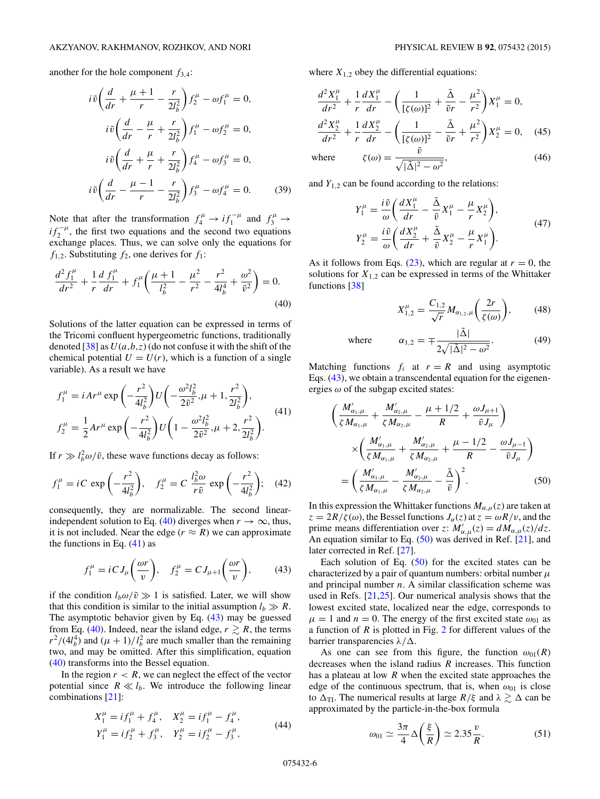$$
i\tilde{v}\left(\frac{d}{dr} + \frac{\mu + 1}{r} - \frac{r}{2l_b^2}\right) f_2^{\mu} - \omega f_1^{\mu} = 0,
$$
  
\n
$$
i\tilde{v}\left(\frac{d}{dr} - \frac{\mu}{r} + \frac{r}{2l_b^2}\right) f_1^{\mu} - \omega f_2^{\mu} = 0,
$$
  
\n
$$
i\tilde{v}\left(\frac{d}{dr} + \frac{\mu}{r} + \frac{r}{2l_b^2}\right) f_4^{\mu} - \omega f_3^{\mu} = 0,
$$
  
\n
$$
i\tilde{v}\left(\frac{d}{dr} - \frac{\mu - 1}{r} - \frac{r}{2l_b^2}\right) f_3^{\mu} - \omega f_4^{\mu} = 0.
$$
 (39)

Note that after the transformation  $f_4^{\mu} \rightarrow i f_1^{-\mu}$  and  $f_3^{\mu} \rightarrow$  $if_2^{-\mu}$ , the first two equations and the second two equations exchange places. Thus, we can solve only the equations for  $f_{1,2}$ . Substituting  $f_2$ , one derives for  $f_1$ :

$$
\frac{d^2 f_1^{\mu}}{dr^2} + \frac{1}{r} \frac{d f_1^{\mu}}{dr} + f_1^{\mu} \left( \frac{\mu + 1}{l_b^2} - \frac{\mu^2}{r^2} - \frac{r^2}{4l_b^4} + \frac{\omega^2}{\tilde{v}^2} \right) = 0.
$$
\n(40)

Solutions of the latter equation can be expressed in terms of the Tricomi confluent hypergeometric functions, traditionally denoted  $[38]$  as  $U(a, b, z)$  (do not confuse it with the shift of the chemical potential  $U = U(r)$ , which is a function of a single variable). As a result we have

$$
f_1^{\mu} = iAr^{\mu} \exp\left(-\frac{r^2}{4l_b^2}\right) U\left(-\frac{\omega^2 l_b^2}{2\tilde{v}^2}, \mu + 1, \frac{r^2}{2l_b^2}\right),
$$
  
\n
$$
f_2^{\mu} = \frac{1}{2} Ar^{\mu} \exp\left(-\frac{r^2}{4l_b^2}\right) U\left(1 - \frac{\omega^2 l_b^2}{2\tilde{v}^2}, \mu + 2, \frac{r^2}{2l_b^2}\right).
$$
\n(41)

If  $r \gg l_b^2 \omega/\tilde{v}$ , these wave functions decay as follows:

$$
f_1^{\mu} = iC \exp\left(-\frac{r^2}{4l_b^2}\right), \quad f_2^{\mu} = C \frac{l_b^2 \omega}{r \tilde{v}} \exp\left(-\frac{r^2}{4l_b^2}\right); \quad (42)
$$

consequently, they are normalizable. The second linearindependent solution to Eq. (40) diverges when  $r \to \infty$ , thus, it is not included. Near the edge ( $r \approx R$ ) we can approximate the functions in Eq.  $(41)$  as

$$
f_1^{\mu} = iC J_{\mu} \left( \frac{\omega r}{v} \right), \quad f_2^{\mu} = C J_{\mu+1} \left( \frac{\omega r}{v} \right), \tag{43}
$$

if the condition  $l_b\omega/\tilde{v} \gg 1$  is satisfied. Later, we will show that this condition is similar to the initial assumption  $l_b \gg R$ . The asymptotic behavior given by Eq. (43) may be guessed from Eq. (40). Indeed, near the island edge,  $r \ge R$ , the terms  $r^2/(4l_b^4)$  and  $(\mu + 1)/l_b^2$  are much smaller than the remaining two, and may be omitted. After this simplification, equation (40) transforms into the Bessel equation.

In the region  $r < R$ , we can neglect the effect of the vector potential since  $R \ll l_b$ . We introduce the following linear combinations [\[21\]](#page-8-0):

$$
X_1^{\mu} = if_1^{\mu} + f_4^{\mu}, \quad X_2^{\mu} = if_1^{\mu} - f_4^{\mu},
$$
  
\n
$$
Y_1^{\mu} = if_2^{\mu} + f_3^{\mu}, \quad Y_2^{\mu} = if_2^{\mu} - f_3^{\mu},
$$
\n(44)

where  $X_{1,2}$  obey the differential equations:

$$
\frac{d^2X_1^{\mu}}{dr^2} + \frac{1}{r}\frac{dX_1^{\mu}}{dr} - \left(\frac{1}{[\zeta(\omega)]^2} + \frac{\tilde{\Delta}}{\tilde{v}r} - \frac{\mu^2}{r^2}\right)X_1^{\mu} = 0,
$$
  

$$
\frac{d^2X_2^{\mu}}{dr^2} + \frac{1}{r}\frac{dX_2^{\mu}}{dr} - \left(\frac{1}{[\zeta(\omega)]^2} - \frac{\tilde{\Delta}}{\tilde{v}r} + \frac{\mu^2}{r^2}\right)X_2^{\mu} = 0,
$$
 (45)

where 
$$
\zeta(\omega) = \frac{\tilde{v}}{\sqrt{|\tilde{\Delta}|^2 - \omega^2}},
$$
 (46)

and  $Y_{1,2}$  can be found according to the relations:

$$
Y_1^{\mu} = \frac{i\tilde{v}}{\omega} \left( \frac{dX_1^{\mu}}{dr} - \frac{\tilde{\Delta}}{\tilde{v}} X_1^{\mu} - \frac{\mu}{r} X_2^{\mu} \right),
$$
  
\n
$$
Y_2^{\mu} = \frac{i\tilde{v}}{\omega} \left( \frac{dX_2^{\mu}}{dr} + \frac{\tilde{\Delta}}{\tilde{v}} X_2^{\mu} - \frac{\mu}{r} X_1^{\mu} \right).
$$
\n(47)

As it follows from Eqs.  $(23)$ , which are regular at  $r = 0$ , the solutions for  $X_{1,2}$  can be expressed in terms of the Whittaker functions [\[38\]](#page-9-0)

$$
X_{1,2}^{\mu} = \frac{C_{1,2}}{\sqrt{r}} M_{\alpha_{1,2},\mu} \bigg( \frac{2r}{\zeta(\omega)} \bigg), \qquad (48)
$$

where 
$$
\alpha_{1,2} = \mp \frac{|\tilde{\Delta}|}{2\sqrt{|\tilde{\Delta}|^2 - \omega^2}}.
$$
 (49)

Matching functions  $f_i$  at  $r = R$  and using asymptotic Eqs. (43), we obtain a transcendental equation for the eigenenergies *ω* of the subgap excited states:

$$
\left(\frac{M'_{\alpha_1,\mu}}{\zeta M_{\alpha_1,\mu}} + \frac{M'_{\alpha_2,\mu}}{\zeta M_{\alpha_2,\mu}} - \frac{\mu + 1/2}{R} + \frac{\omega J_{\mu+1}}{\tilde{\upsilon} J_{\mu}}\right) \times \left(\frac{M'_{\alpha_1,\mu}}{\zeta M_{\alpha_1,\mu}} + \frac{M'_{\alpha_2,\mu}}{\zeta M_{\alpha_2,\mu}} + \frac{\mu - 1/2}{R} - \frac{\omega J_{\mu-1}}{\tilde{\upsilon} J_{\mu}}\right) = \left(\frac{M'_{\alpha_1,\mu}}{\zeta M_{\alpha_1,\mu}} - \frac{M'_{\alpha_2,\mu}}{\zeta M_{\alpha_2,\mu}} - \frac{\tilde{\Delta}}{\tilde{\upsilon}}\right)^2.
$$
 (50)

In this expression the Whittaker functions  $M_{\alpha,\mu}(z)$  are taken at  $z = 2R/\zeta(\omega)$ , the Bessel functions  $J_\alpha(z)$  at  $z = \omega R/v$ , and the prime means differentiation over *z*:  $M'_{\alpha,\mu}(z) = dM_{\alpha,\mu}(z)/dz$ . An equation similar to Eq.  $(50)$  was derived in Ref.  $[21]$ , and later corrected in Ref. [\[27\]](#page-9-0).

Each solution of Eq.  $(50)$  for the excited states can be characterized by a pair of quantum numbers: orbital number *μ* and principal number *n*. A similar classification scheme was used in Refs. [\[21](#page-8-0)[,25\]](#page-9-0). Our numerical analysis shows that the lowest excited state, localized near the edge, corresponds to  $\mu = 1$  and  $n = 0$ . The energy of the first excited state  $\omega_{01}$  as a function of *R* is plotted in Fig. [2](#page-6-0) for different values of the barrier transparencies *λ/*.

As one can see from this figure, the function  $\omega_{01}(R)$ decreases when the island radius *R* increases. This function has a plateau at low *R* when the excited state approaches the edge of the continuous spectrum, that is, when  $\omega_{01}$  is close to  $\Delta_{\text{TI}}$ . The numerical results at large  $R/\xi$  and  $\lambda \gtrsim \Delta$  can be approximated by the particle-in-the-box formula

$$
\omega_{01} \simeq \frac{3\pi}{4} \Delta \left(\frac{\xi}{R}\right) \simeq 2.35 \frac{v}{R}.\tag{51}
$$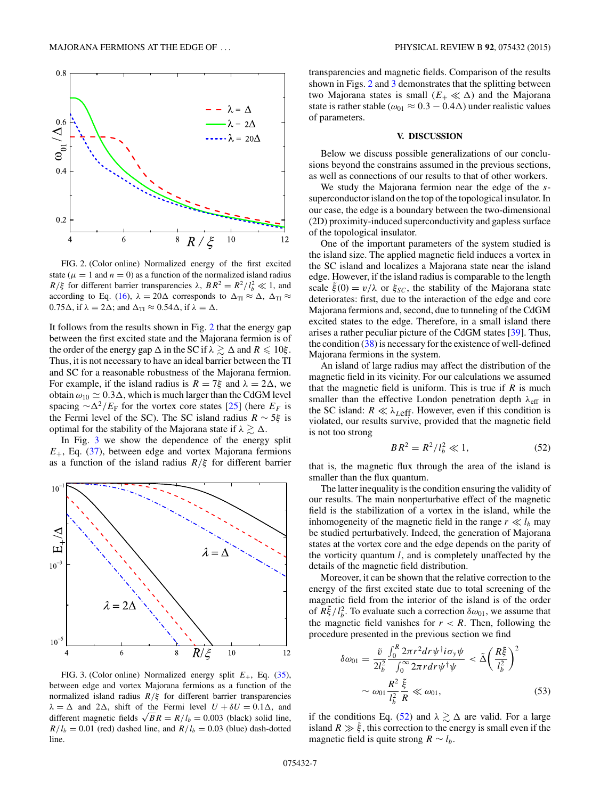<span id="page-6-0"></span>

FIG. 2. (Color online) Normalized energy of the first excited state ( $\mu = 1$  and  $n = 0$ ) as a function of the normalized island radius *R*/ $\xi$  for different barrier transparencies  $\lambda$ ,  $BR^2 = R^2/l_b^2 \ll 1$ , and according to Eq. [\(16\)](#page-2-0),  $\lambda = 20\Delta$  corresponds to  $\Delta_{\text{TI}} \approx \Delta$ ,  $\Delta_{\text{TI}} \approx$  $0.75\Delta$ , if  $\lambda = 2\Delta$ ; and  $\Delta_{\text{TI}} \approx 0.54\Delta$ , if  $\lambda = \Delta$ .

It follows from the results shown in Fig. 2 that the energy gap between the first excited state and the Majorana fermion is of the order of the energy gap  $\Delta$  in the SC if  $\lambda \gtrsim \Delta$  and  $R \leq 10 \xi$ . Thus, it is not necessary to have an ideal barrier between the TI and SC for a reasonable robustness of the Majorana fermion. For example, if the island radius is  $R = 7\xi$  and  $\lambda = 2\Delta$ , we obtain  $\omega_{10} \simeq 0.3\Delta$ , which is much larger than the CdGM level spacing  $\sim \Delta^2/E_F$  for the vortex core states [\[25\]](#page-9-0) (here  $E_F$  is the Fermi level of the SC). The SC island radius *R* ∼ 5*ξ* is optimal for the stability of the Majorana state if  $\lambda \gtrsim \Delta$ .

In Fig. 3 we show the dependence of the energy split  $E_{+}$ , Eq. [\(37\)](#page-4-0), between edge and vortex Majorana fermions as a function of the island radius *R/ξ* for different barrier



FIG. 3. (Color online) Normalized energy split *E*+, Eq. [\(35\)](#page-4-0), between edge and vortex Majorana fermions as a function of the normalized island radius *R/ξ* for different barrier transparencies  $\lambda = \Delta$  and 2 $\Delta$ , shift of the Fermi level  $U + \delta U = 0.1 \Delta$ , and different magnetic fields  $\sqrt{BR} = R/l_b = 0.003$  (black) solid line,  $R/l_b = 0.01$  (red) dashed line, and  $R/l_b = 0.03$  (blue) dash-dotted line.

transparencies and magnetic fields. Comparison of the results shown in Figs. 2 and 3 demonstrates that the splitting between two Majorana states is small  $(E_+ \ll \Delta)$  and the Majorana state is rather stable ( $\omega_{01} \approx 0.3 - 0.4\Delta$ ) under realistic values of parameters.

#### **V. DISCUSSION**

Below we discuss possible generalizations of our conclusions beyond the constrains assumed in the previous sections, as well as connections of our results to that of other workers.

We study the Majorana fermion near the edge of the *s*superconductor island on the top of the topological insulator. In our case, the edge is a boundary between the two-dimensional (2D) proximity-induced superconductivity and gapless surface of the topological insulator.

One of the important parameters of the system studied is the island size. The applied magnetic field induces a vortex in the SC island and localizes a Majorana state near the island edge. However, if the island radius is comparable to the length scale  $\xi(0) = v/\lambda$  or  $\xi_{SC}$ , the stability of the Majorana state deteriorates: first, due to the interaction of the edge and core Majorana fermions and, second, due to tunneling of the CdGM excited states to the edge. Therefore, in a small island there arises a rather peculiar picture of the CdGM states [\[39\]](#page-9-0). Thus, the condition  $(38)$  is necessary for the existence of well-defined Majorana fermions in the system.

An island of large radius may affect the distribution of the magnetic field in its vicinity. For our calculations we assumed that the magnetic field is uniform. This is true if *R* is much smaller than the effective London penetration depth  $λ_{\text{eff}}$  in the SC island:  $R \ll \lambda_{\text{Left}}$ . However, even if this condition is violated, our results survive, provided that the magnetic field is not too strong

$$
BR^2 = R^2 / l_b^2 \ll 1,
$$
 (52)

that is, the magnetic flux through the area of the island is smaller than the flux quantum.

The latter inequality is the condition ensuring the validity of our results. The main nonperturbative effect of the magnetic field is the stabilization of a vortex in the island, while the inhomogeneity of the magnetic field in the range  $r \ll l_b$  may be studied perturbatively. Indeed, the generation of Majorana states at the vortex core and the edge depends on the parity of the vorticity quantum *l*, and is completely unaffected by the details of the magnetic field distribution.

Moreover, it can be shown that the relative correction to the energy of the first excited state due to total screening of the magnetic field from the interior of the island is of the order of  $\tilde{R}\tilde{\xi}/l_b^2$ . To evaluate such a correction  $\delta\omega_{01}$ , we assume that the magnetic field vanishes for  $r < R$ . Then, following the procedure presented in the previous section we find

$$
\delta\omega_{01} = \frac{\tilde{v}}{2l_b^2} \frac{\int_0^R 2\pi r^2 dr \psi^\dagger i\sigma_y \psi}{\int_0^\infty 2\pi r dr \psi^\dagger \psi} < \tilde{\Delta} \left(\frac{R\tilde{\xi}}{l_b^2}\right)^2
$$

$$
\sim \omega_{01} \frac{R^2}{l_b^2} \frac{\tilde{\xi}}{R} \ll \omega_{01},
$$
(53)

if the conditions Eq. (52) and  $\lambda \gtrsim \Delta$  are valid. For a large island  $R \gg \tilde{\xi}$ , this correction to the energy is small even if the magnetic field is quite strong  $R \sim l_b$ .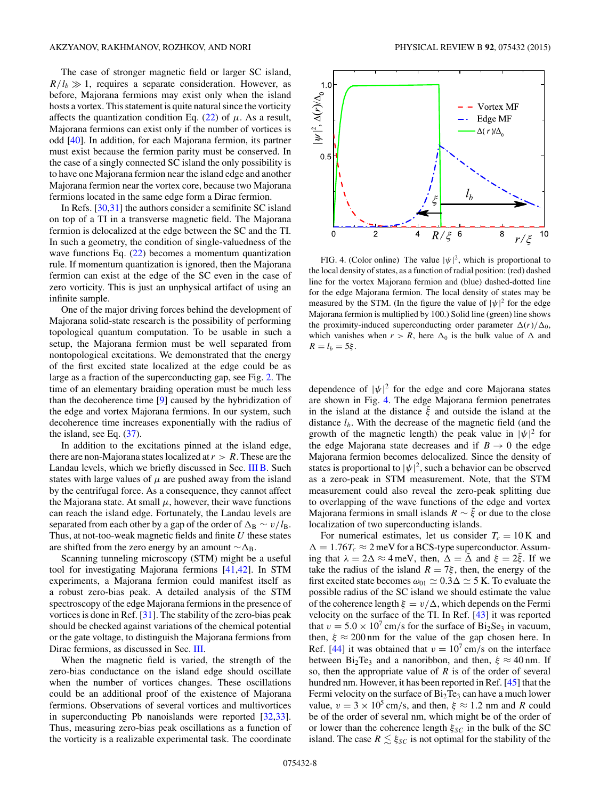The case of stronger magnetic field or larger SC island,  $R/l_b \gg 1$ , requires a separate consideration. However, as before, Majorana fermions may exist only when the island hosts a vortex. This statement is quite natural since the vorticity affects the quantization condition Eq.  $(22)$  of  $\mu$ . As a result, Majorana fermions can exist only if the number of vortices is odd [\[40\]](#page-9-0). In addition, for each Majorana fermion, its partner must exist because the fermion parity must be conserved. In the case of a singly connected SC island the only possibility is to have one Majorana fermion near the island edge and another Majorana fermion near the vortex core, because two Majorana fermions located in the same edge form a Dirac fermion.

In Refs. [\[30,31\]](#page-9-0) the authors consider a semifinite SC island on top of a TI in a transverse magnetic field. The Majorana fermion is delocalized at the edge between the SC and the TI. In such a geometry, the condition of single-valuedness of the wave functions Eq.  $(22)$  becomes a momentum quantization rule. If momentum quantization is ignored, then the Majorana fermion can exist at the edge of the SC even in the case of zero vorticity. This is just an unphysical artifact of using an infinite sample.

One of the major driving forces behind the development of Majorana solid-state research is the possibility of performing topological quantum computation. To be usable in such a setup, the Majorana fermion must be well separated from nontopological excitations. We demonstrated that the energy of the first excited state localized at the edge could be as large as a fraction of the superconducting gap, see Fig. [2.](#page-6-0) The time of an elementary braiding operation must be much less than the decoherence time [\[9\]](#page-8-0) caused by the hybridization of the edge and vortex Majorana fermions. In our system, such decoherence time increases exponentially with the radius of the island, see Eq. [\(37\)](#page-4-0).

In addition to the excitations pinned at the island edge, there are non-Majorana states localized at  $r > R$ . These are the Landau levels, which we briefly discussed in Sec. [III B.](#page-3-0) Such states with large values of  $\mu$  are pushed away from the island by the centrifugal force. As a consequence, they cannot affect the Majorana state. At small  $\mu$ , however, their wave functions can reach the island edge. Fortunately, the Landau levels are separated from each other by a gap of the order of  $\Delta_B \sim v/l_B$ . Thus, at not-too-weak magnetic fields and finite *U* these states are shifted from the zero energy by an amount  $~\sim \Delta_B$ .

Scanning tunneling microscopy (STM) might be a useful tool for investigating Majorana fermions [\[41,42\]](#page-9-0). In STM experiments, a Majorana fermion could manifest itself as a robust zero-bias peak. A detailed analysis of the STM spectroscopy of the edge Majorana fermions in the presence of vortices is done in Ref. [\[31\]](#page-9-0). The stability of the zero-bias peak should be checked against variations of the chemical potential or the gate voltage, to distinguish the Majorana fermions from Dirac fermions, as discussed in Sec. [III.](#page-2-0)

When the magnetic field is varied, the strength of the zero-bias conductance on the island edge should oscillate when the number of vortices changes. These oscillations could be an additional proof of the existence of Majorana fermions. Observations of several vortices and multivortices in superconducting Pb nanoislands were reported [\[32,33\]](#page-9-0). Thus, measuring zero-bias peak oscillations as a function of the vorticity is a realizable experimental task. The coordinate



FIG. 4. (Color online) The value  $|\psi|^2$ , which is proportional to the local density of states, as a function of radial position: (red) dashed line for the vortex Majorana fermion and (blue) dashed-dotted line for the edge Majorana fermion. The local density of states may be measured by the STM. (In the figure the value of  $|\psi|^2$  for the edge Majorana fermion is multiplied by 100.) Solid line (green) line shows the proximity-induced superconducting order parameter  $\Delta(r)/\Delta_0$ , which vanishes when  $r > R$ , here  $\Delta_0$  is the bulk value of  $\Delta$  and *R* =  $l_b$  = 5*ξ*.

dependence of  $|\psi|^2$  for the edge and core Majorana states are shown in Fig. 4. The edge Majorana fermion penetrates in the island at the distance  $\tilde{\xi}$  and outside the island at the distance *lb*. With the decrease of the magnetic field (and the growth of the magnetic length) the peak value in  $|\psi|^2$  for the edge Majorana state decreases and if  $B \to 0$  the edge Majorana fermion becomes delocalized. Since the density of states is proportional to  $|\psi|^2$ , such a behavior can be observed as a zero-peak in STM measurement. Note, that the STM measurement could also reveal the zero-peak splitting due to overlapping of the wave functions of the edge and vortex Majorana fermions in small islands  $R \sim \tilde{\xi}$  or due to the close localization of two superconducting islands.

For numerical estimates, let us consider  $T_c = 10 \text{ K}$  and  $\Delta = 1.76T_c \approx 2$  meV for a BCS-type superconductor. Assuming that  $\lambda = 2\Delta \approx 4$  meV, then,  $\Delta = \tilde{\Delta}$  and  $\xi = 2\tilde{\xi}$ . If we take the radius of the island  $R = 7\xi$ , then, the energy of the first excited state becomes  $\omega_{01} \simeq 0.3 \Delta \simeq 5$  K. To evaluate the possible radius of the SC island we should estimate the value of the coherence length  $\xi = v/\Delta$ , which depends on the Fermi velocity on the surface of the TI. In Ref. [\[43\]](#page-9-0) it was reported that  $v = 5.0 \times 10^7$  cm/s for the surface of Bi<sub>2</sub>Se<sub>3</sub> in vacuum, then,  $\xi \approx 200$  nm for the value of the gap chosen here. In Ref. [\[44\]](#page-9-0) it was obtained that  $v = 10^7$  cm/s on the interface between  $Bi_2Te_3$  and a nanoribbon, and then,  $\xi \approx 40$  nm. If so, then the appropriate value of *R* is of the order of several hundred nm. However, it has been reported in Ref. [\[45\]](#page-9-0) that the Fermi velocity on the surface of  $Bi<sub>2</sub>Te<sub>3</sub>$  can have a much lower value,  $v = 3 \times 10^5$  cm/s, and then,  $\xi \approx 1.2$  nm and *R* could be of the order of several nm, which might be of the order of or lower than the coherence length *ξSC* in the bulk of the SC island. The case  $R \leq \xi_{SC}$  is not optimal for the stability of the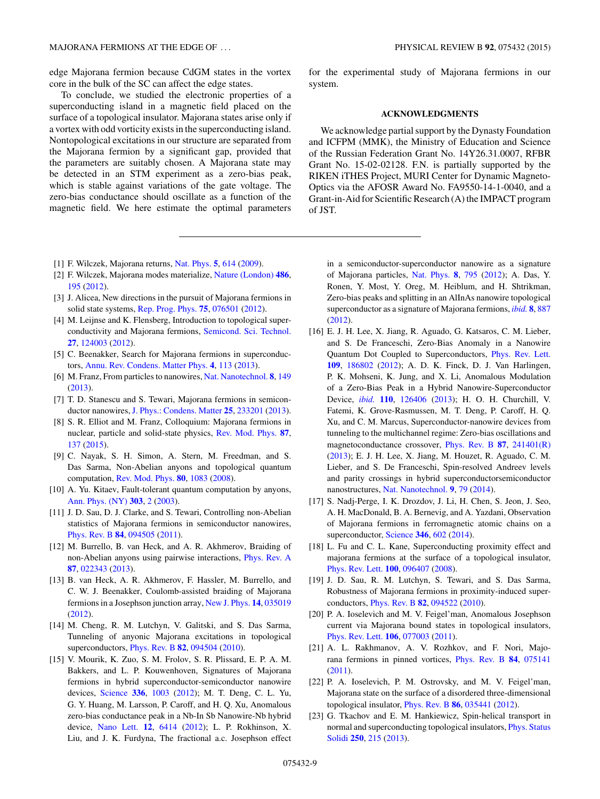<span id="page-8-0"></span>edge Majorana fermion because CdGM states in the vortex core in the bulk of the SC can affect the edge states.

To conclude, we studied the electronic properties of a superconducting island in a magnetic field placed on the surface of a topological insulator. Majorana states arise only if a vortex with odd vorticity exists in the superconducting island. Nontopological excitations in our structure are separated from the Majorana fermion by a significant gap, provided that the parameters are suitably chosen. A Majorana state may be detected in an STM experiment as a zero-bias peak, which is stable against variations of the gate voltage. The zero-bias conductance should oscillate as a function of the magnetic field. We here estimate the optimal parameters

- [1] F. Wilczek, Majorana returns, [Nat. Phys.](http://dx.doi.org/10.1038/nphys1380) **[5](http://dx.doi.org/10.1038/nphys1380)**, [614](http://dx.doi.org/10.1038/nphys1380) [\(2009\)](http://dx.doi.org/10.1038/nphys1380).
- [2] F. Wilczek, Majorana modes materialize, [Nature \(London\)](http://dx.doi.org/10.1038/486195a) **[486](http://dx.doi.org/10.1038/486195a)**, [195](http://dx.doi.org/10.1038/486195a) [\(2012\)](http://dx.doi.org/10.1038/486195a).
- [3] J. Alicea, New directions in the pursuit of Majorana fermions in solid state systems, [Rep. Prog. Phys.](http://dx.doi.org/10.1088/0034-4885/75/7/076501) **[75](http://dx.doi.org/10.1088/0034-4885/75/7/076501)**, [076501](http://dx.doi.org/10.1088/0034-4885/75/7/076501) [\(2012\)](http://dx.doi.org/10.1088/0034-4885/75/7/076501).
- [4] M. Leijnse and K. Flensberg, Introduction to topological superconductivity and Majorana fermions, [Semicond. Sci. Technol.](http://dx.doi.org/10.1088/0268-1242/27/12/124003) **[27](http://dx.doi.org/10.1088/0268-1242/27/12/124003)**, [124003](http://dx.doi.org/10.1088/0268-1242/27/12/124003) [\(2012\)](http://dx.doi.org/10.1088/0268-1242/27/12/124003).
- [5] C. Beenakker, Search for Majorana fermions in superconductors, [Annu. Rev. Condens. Matter Phys.](http://dx.doi.org/10.1146/annurev-conmatphys-030212-184337) **[4](http://dx.doi.org/10.1146/annurev-conmatphys-030212-184337)**, [113](http://dx.doi.org/10.1146/annurev-conmatphys-030212-184337) [\(2013\)](http://dx.doi.org/10.1146/annurev-conmatphys-030212-184337).
- [6] M. Franz, From particles to nanowires, [Nat. Nanotechnol.](http://dx.doi.org/10.1038/nnano.2013.33) **[8](http://dx.doi.org/10.1038/nnano.2013.33)**, [149](http://dx.doi.org/10.1038/nnano.2013.33) [\(2013\)](http://dx.doi.org/10.1038/nnano.2013.33).
- [7] T. D. Stanescu and S. Tewari, Majorana fermions in semiconductor nanowires, [J. Phys.: Condens. Matter](http://dx.doi.org/10.1088/0953-8984/25/23/233201) **[25](http://dx.doi.org/10.1088/0953-8984/25/23/233201)**, [233201](http://dx.doi.org/10.1088/0953-8984/25/23/233201) [\(2013\)](http://dx.doi.org/10.1088/0953-8984/25/23/233201).
- [8] S. R. Elliot and M. Franz, Colloquium: Majorana fermions in nuclear, particle and solid-state physics, [Rev. Mod. Phys.](http://dx.doi.org/10.1103/RevModPhys.87.137) **[87](http://dx.doi.org/10.1103/RevModPhys.87.137)**, [137](http://dx.doi.org/10.1103/RevModPhys.87.137) [\(2015\)](http://dx.doi.org/10.1103/RevModPhys.87.137).
- [9] C. Nayak, S. H. Simon, A. Stern, M. Freedman, and S. Das Sarma, Non-Abelian anyons and topological quantum computation, [Rev. Mod. Phys.](http://dx.doi.org/10.1103/RevModPhys.80.1083) **[80](http://dx.doi.org/10.1103/RevModPhys.80.1083)**, [1083](http://dx.doi.org/10.1103/RevModPhys.80.1083) [\(2008\)](http://dx.doi.org/10.1103/RevModPhys.80.1083).
- [10] A. Yu. Kitaev, Fault-tolerant quantum computation by anyons, [Ann. Phys. \(NY\)](http://dx.doi.org/10.1016/S0003-4916(02)00018-0) **[303](http://dx.doi.org/10.1016/S0003-4916(02)00018-0)**, [2](http://dx.doi.org/10.1016/S0003-4916(02)00018-0) [\(2003\)](http://dx.doi.org/10.1016/S0003-4916(02)00018-0).
- [11] J. D. Sau, D. J. Clarke, and S. Tewari, Controlling non-Abelian statistics of Majorana fermions in semiconductor nanowires, [Phys. Rev. B](http://dx.doi.org/10.1103/PhysRevB.84.094505) **[84](http://dx.doi.org/10.1103/PhysRevB.84.094505)**, [094505](http://dx.doi.org/10.1103/PhysRevB.84.094505) [\(2011\)](http://dx.doi.org/10.1103/PhysRevB.84.094505).
- [12] M. Burrello, B. van Heck, and A. R. Akhmerov, Braiding of non-Abelian anyons using pairwise interactions, [Phys. Rev. A](http://dx.doi.org/10.1103/PhysRevA.87.022343) **[87](http://dx.doi.org/10.1103/PhysRevA.87.022343)**, [022343](http://dx.doi.org/10.1103/PhysRevA.87.022343) [\(2013\)](http://dx.doi.org/10.1103/PhysRevA.87.022343).
- [13] B. van Heck, A. R. Akhmerov, F. Hassler, M. Burrello, and C. W. J. Beenakker, Coulomb-assisted braiding of Majorana fermions in a Josephson junction array, [New J. Phys.](http://dx.doi.org/10.1088/1367-2630/14/3/035019) **[14](http://dx.doi.org/10.1088/1367-2630/14/3/035019)**, [035019](http://dx.doi.org/10.1088/1367-2630/14/3/035019) [\(2012\)](http://dx.doi.org/10.1088/1367-2630/14/3/035019).
- [14] M. Cheng, R. M. Lutchyn, V. Galitski, and S. Das Sarma, Tunneling of anyonic Majorana excitations in topological superconductors, [Phys. Rev. B](http://dx.doi.org/10.1103/PhysRevB.82.094504) **[82](http://dx.doi.org/10.1103/PhysRevB.82.094504)**, [094504](http://dx.doi.org/10.1103/PhysRevB.82.094504) [\(2010\)](http://dx.doi.org/10.1103/PhysRevB.82.094504).
- [15] V. Mourik, K. Zuo, S. M. Frolov, S. R. Plissard, E. P. A. M. Bakkers, and L. P. Kouwenhoven, Signatures of Majorana fermions in hybrid superconductor-semiconductor nanowire devices, [Science](http://dx.doi.org/10.1126/science.1222360) **[336](http://dx.doi.org/10.1126/science.1222360)**, [1003](http://dx.doi.org/10.1126/science.1222360) [\(2012\)](http://dx.doi.org/10.1126/science.1222360); M. T. Deng, C. L. Yu, G. Y. Huang, M. Larsson, P. Caroff, and H. Q. Xu, Anomalous zero-bias conductance peak in a Nb-In Sb Nanowire-Nb hybrid device, [Nano Lett.](http://dx.doi.org/10.1021/nl303758w) **[12](http://dx.doi.org/10.1021/nl303758w)**, [6414](http://dx.doi.org/10.1021/nl303758w) [\(2012\)](http://dx.doi.org/10.1021/nl303758w); L. P. Rokhinson, X. Liu, and J. K. Furdyna, The fractional a.c. Josephson effect

for the experimental study of Majorana fermions in our system.

## **ACKNOWLEDGMENTS**

We acknowledge partial support by the Dynasty Foundation and ICFPM (MMK), the Ministry of Education and Science of the Russian Federation Grant No. 14Y26.31.0007, RFBR Grant No. 15-02-02128. F.N. is partially supported by the RIKEN iTHES Project, MURI Center for Dynamic Magneto-Optics via the AFOSR Award No. FA9550-14-1-0040, and a Grant-in-Aid for Scientific Research (A) the IMPACT program of JST.

in a semiconductor-superconductor nanowire as a signature of Majorana particles, [Nat. Phys.](http://dx.doi.org/10.1038/nphys2429) **[8](http://dx.doi.org/10.1038/nphys2429)**, [795](http://dx.doi.org/10.1038/nphys2429) [\(2012\)](http://dx.doi.org/10.1038/nphys2429); A. Das, Y. Ronen, Y. Most, Y. Oreg, M. Heiblum, and H. Shtrikman, Zero-bias peaks and splitting in an AlInAs nanowire topological superconductor as a signature of Majorana fermions, *[ibid.](http://dx.doi.org/10.1038/nphys2479)* **[8](http://dx.doi.org/10.1038/nphys2479)**, [887](http://dx.doi.org/10.1038/nphys2479) [\(2012\)](http://dx.doi.org/10.1038/nphys2479).

- [16] E. J. H. Lee, X. Jiang, R. Aguado, G. Katsaros, C. M. Lieber, and S. De Franceschi, Zero-Bias Anomaly in a Nanowire Quantum Dot Coupled to Superconductors, [Phys. Rev. Lett.](http://dx.doi.org/10.1103/PhysRevLett.109.186802) **[109](http://dx.doi.org/10.1103/PhysRevLett.109.186802)**, [186802](http://dx.doi.org/10.1103/PhysRevLett.109.186802) [\(2012\)](http://dx.doi.org/10.1103/PhysRevLett.109.186802); A. D. K. Finck, D. J. Van Harlingen, P. K. Mohseni, K. Jung, and X. Li, Anomalous Modulation of a Zero-Bias Peak in a Hybrid Nanowire-Superconductor Device, *[ibid.](http://dx.doi.org/10.1103/PhysRevLett.110.126406)* **[110](http://dx.doi.org/10.1103/PhysRevLett.110.126406)**, [126406](http://dx.doi.org/10.1103/PhysRevLett.110.126406) [\(2013\)](http://dx.doi.org/10.1103/PhysRevLett.110.126406); H. O. H. Churchill, V. Fatemi, K. Grove-Rasmussen, M. T. Deng, P. Caroff, H. Q. Xu, and C. M. Marcus, Superconductor-nanowire devices from tunneling to the multichannel regime: Zero-bias oscillations and magnetoconductance crossover, [Phys. Rev. B](http://dx.doi.org/10.1103/PhysRevB.87.241401) **[87](http://dx.doi.org/10.1103/PhysRevB.87.241401)**, [241401\(R\)](http://dx.doi.org/10.1103/PhysRevB.87.241401) [\(2013\)](http://dx.doi.org/10.1103/PhysRevB.87.241401); E. J. H. Lee, X. Jiang, M. Houzet, R. Aguado, C. M. Lieber, and S. De Franceschi, Spin-resolved Andreev levels and parity crossings in hybrid superconductorsemiconductor nanostructures, [Nat. Nanotechnol.](http://dx.doi.org/10.1038/nnano.2013.267) **[9](http://dx.doi.org/10.1038/nnano.2013.267)**, [79](http://dx.doi.org/10.1038/nnano.2013.267) [\(2014\)](http://dx.doi.org/10.1038/nnano.2013.267).
- [17] S. Nadj-Perge, I. K. Drozdov, J. Li, H. Chen, S. Jeon, J. Seo, A. H. MacDonald, B. A. Bernevig, and A. Yazdani, Observation of Majorana fermions in ferromagnetic atomic chains on a superconductor, [Science](http://dx.doi.org/10.1126/science.1259327) **[346](http://dx.doi.org/10.1126/science.1259327)**, [602](http://dx.doi.org/10.1126/science.1259327) [\(2014\)](http://dx.doi.org/10.1126/science.1259327).
- [18] L. Fu and C. L. Kane, Superconducting proximity effect and majorana fermions at the surface of a topological insulator, [Phys. Rev. Lett.](http://dx.doi.org/10.1103/PhysRevLett.100.096407) **[100](http://dx.doi.org/10.1103/PhysRevLett.100.096407)**, [096407](http://dx.doi.org/10.1103/PhysRevLett.100.096407) [\(2008\)](http://dx.doi.org/10.1103/PhysRevLett.100.096407).
- [19] J. D. Sau, R. M. Lutchyn, S. Tewari, and S. Das Sarma, Robustness of Majorana fermions in proximity-induced superconductors, [Phys. Rev. B](http://dx.doi.org/10.1103/PhysRevB.82.094522) **[82](http://dx.doi.org/10.1103/PhysRevB.82.094522)**, [094522](http://dx.doi.org/10.1103/PhysRevB.82.094522) [\(2010\)](http://dx.doi.org/10.1103/PhysRevB.82.094522).
- [20] P. A. Ioselevich and M. V. Feigel'man, Anomalous Josephson current via Majorana bound states in topological insulators, [Phys. Rev. Lett.](http://dx.doi.org/10.1103/PhysRevLett.106.077003) **[106](http://dx.doi.org/10.1103/PhysRevLett.106.077003)**, [077003](http://dx.doi.org/10.1103/PhysRevLett.106.077003) [\(2011\)](http://dx.doi.org/10.1103/PhysRevLett.106.077003).
- [21] A. L. Rakhmanov, A. V. Rozhkov, and F. Nori, Majorana fermions in pinned vortices, [Phys. Rev. B](http://dx.doi.org/10.1103/PhysRevB.84.075141) **[84](http://dx.doi.org/10.1103/PhysRevB.84.075141)**, [075141](http://dx.doi.org/10.1103/PhysRevB.84.075141) [\(2011\)](http://dx.doi.org/10.1103/PhysRevB.84.075141).
- [22] P. A. Ioselevich, P. M. Ostrovsky, and M. V. Feigel'man, Majorana state on the surface of a disordered three-dimensional topological insulator, [Phys. Rev. B](http://dx.doi.org/10.1103/PhysRevB.86.035441) **[86](http://dx.doi.org/10.1103/PhysRevB.86.035441)**, [035441](http://dx.doi.org/10.1103/PhysRevB.86.035441) [\(2012\)](http://dx.doi.org/10.1103/PhysRevB.86.035441).
- [23] G. Tkachov and E. M. Hankiewicz, Spin-helical transport in [normal and superconducting topological insulators,](http://dx.doi.org/10.1002/pssb.201248385) Phys. Status Solidi **[250](http://dx.doi.org/10.1002/pssb.201248385)**, [215](http://dx.doi.org/10.1002/pssb.201248385) [\(2013\)](http://dx.doi.org/10.1002/pssb.201248385).